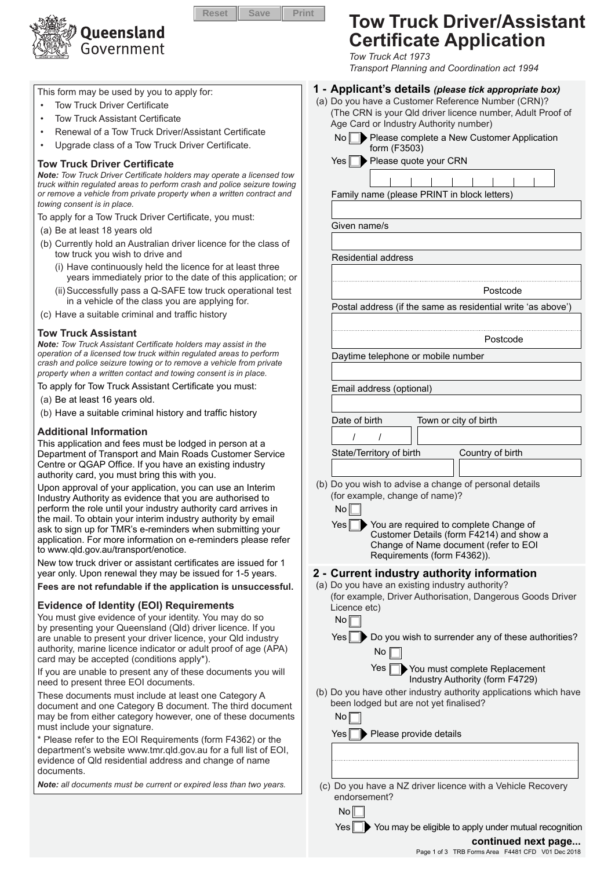

This form may be used by you to apply for:

- **Tow Truck Driver Certificate**
- **Tow Truck Assistant Certificate**
- Renewal of a Tow Truck Driver/Assistant Certificate
- Upgrade class of a Tow Truck Driver Certificate.

#### **Tow Truck Driver Certificate**

*Note: Tow Truck Driver Certificate holders may operate a licensed tow truck within regulated areas to perform crash and police seizure towing or remove a vehicle from private property when a written contract and towing consent is in place.*

To apply for a Tow Truck Driver Certificate, you must:

- (a) Be at least 18 years old
- (b) Currently hold an Australian driver licence for the class of tow truck you wish to drive and
	- (i) Have continuously held the licence for at least three years immediately prior to the date of this application; or
	- (ii)Successfully pass a Q-SAFE tow truck operational test in a vehicle of the class you are applying for.
- (c) Have a suitable criminal and traffic history

#### **Tow Truck Assistant**

*Note: Tow Truck Assistant Certificate holders may assist in the operation of a licensed tow truck within regulated areas to perform crash and police seizure towing or to remove a vehicle from private property when a written contact and towing consent is in place.*

To apply for Tow Truck Assistant Certificate you must:

- (a) Be at least 16 years old.
- (b) Have a suitable criminal history and traffic history

#### **Additional Information**

This application and fees must be lodged in person at a Department of Transport and Main Roads Customer Service Centre or QGAP Office. If you have an existing industry authority card, you must bring this with you.

Upon approval of your application, you can use an Interim Industry Authority as evidence that you are authorised to perform the role until your industry authority card arrives in the mail. To obtain your interim industry authority by email ask to sign up for TMR's e-reminders when submitting your application. For more information on e-reminders please refer to www.qld.gov.au/transport/enotice.

New tow truck driver or assistant certificates are issued for 1 year only. Upon renewal they may be issued for 1-5 years.

**Fees are not refundable if the application is unsuccessful.**

#### **Evidence of Identity (EOI) Requirements**

You must give evidence of your identity. You may do so by presenting your Queensland (Qld) driver licence. If you are unable to present your driver licence, your Qld industry authority, marine licence indicator or adult proof of age (APA) card may be accepted (conditions apply\*).

If you are unable to present any of these documents you will need to present three EOI documents.

These documents must include at least one Category A document and one Category B document. The third document may be from either category however, one of these documents must include your signature.

\* Please refer to the EOI Requirements (form F4362) or the department's website www.tmr.qld.gov.au for a full list of EOI, evidence of Qld residential address and change of name documents.

*Note: all documents must be current or expired less than two years.*

# **Tow Truck Driver/Assistant Certificate Application**

*Tow Truck Act 1973 Transport Planning and Coordination act 1994*

#### **1 - Applicant's details** *(please tick appropriate box)*

- (a) Do you have a Customer Reference Number (CRN)? (The CRN is your Qld driver licence number, Adult Proof of Age Card or Industry Authority number)
	- No Please complete a New Customer Application form (F3503)
	- $Yes \n\triangleright$  Please quote your CRN

Family name (please PRINT in block letters)

Given name/s

Residential address

Postcode

Postcode

Country of birth

Postal address (if the same as residential write 'as above')

Daytime telephone or mobile number

Email address (optional)

Date of birth Town or city of birth

/ /

State/Territory of birth

No

(b) Do you wish to advise a change of personal details (for example, change of name)?

No Yes  $\Box$  You are required to complete Change of Customer Details (form F4214) and show a Change of Name document (refer to EOI Requirements (form F4362)).

# **2 - Current industry authority information**

(a) Do you have an existing industry authority? (for example, Driver Authorisation, Dangerous Goods Driver Licence etc)

No  $Yes \n\rightarrow Do$  you wish to surrender any of these authorities?  $No  $\sqrt{ }$$ 



(b) Do you have other industry authority applications which have been lodged but are not yet finalised?  $N \cap \Box$ 

| 1 V U                                                                       |
|-----------------------------------------------------------------------------|
| Yes Please provide details                                                  |
|                                                                             |
|                                                                             |
| (c) Do you have a NZ driver licence with a Vehicle Recovery<br>endorsement? |

Yes Vou may be eligible to apply under mutual recognition

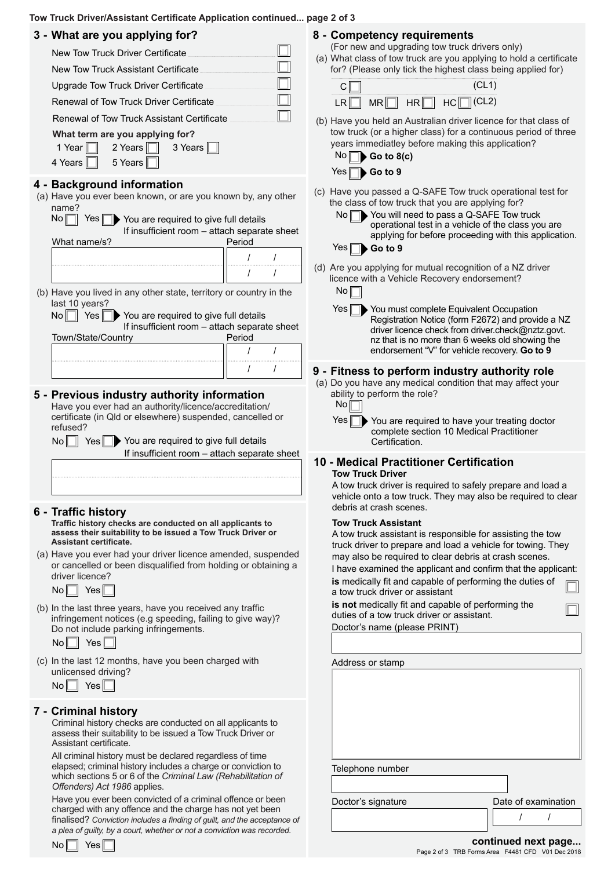#### **Tow Truck Driver/Assistant Certificate Application continued... page 2 of 3**

|  | 3 - What are you applying for? |  |  |  |  |  |
|--|--------------------------------|--|--|--|--|--|
|--|--------------------------------|--|--|--|--|--|

| rnat are you applying ion:                                                                                                                                                                                                                                                                                                                                              |         |
|-------------------------------------------------------------------------------------------------------------------------------------------------------------------------------------------------------------------------------------------------------------------------------------------------------------------------------------------------------------------------|---------|
| New Tow Truck Driver Certificate                                                                                                                                                                                                                                                                                                                                        | (a)     |
| New Tow Truck Assistant Certificate                                                                                                                                                                                                                                                                                                                                     |         |
| Upgrade Tow Truck Driver Certificate                                                                                                                                                                                                                                                                                                                                    |         |
| Renewal of Tow Truck Driver Certificate                                                                                                                                                                                                                                                                                                                                 |         |
| Renewal of Tow Truck Assistant Certificate                                                                                                                                                                                                                                                                                                                              | (b)     |
| What term are you applying for?<br>1 Year $\parallel$<br>2 Years<br>3 Years I<br>5 Years<br>4 Years   <br>Ш                                                                                                                                                                                                                                                             |         |
| 4 - Background information<br>(a) Have you ever been known, or are you known by, any other<br>name?                                                                                                                                                                                                                                                                     | $(c)$   |
| No<br>Yes   <br>You are required to give full details<br>If insufficient room - attach separate sheet<br>Period<br>What name/s?                                                                                                                                                                                                                                         |         |
| $\prime$<br>I                                                                                                                                                                                                                                                                                                                                                           |         |
| I<br>$\prime$                                                                                                                                                                                                                                                                                                                                                           | $(d)$ / |
| (b) Have you lived in any other state, territory or country in the                                                                                                                                                                                                                                                                                                      |         |
| last 10 years?<br>$No$ $  $<br>Yes                                                                                                                                                                                                                                                                                                                                      |         |
| You are required to give full details<br>If insufficient room - attach separate sheet<br>Period<br>Town/State/Country                                                                                                                                                                                                                                                   |         |
| I<br>I                                                                                                                                                                                                                                                                                                                                                                  |         |
| $\prime$<br>I                                                                                                                                                                                                                                                                                                                                                           |         |
| 5 - Previous industry authority information<br>Have you ever had an authority/licence/accreditation/<br>certificate (in Qld or elsewhere) suspended, cancelled or<br>refused?                                                                                                                                                                                           | (a)     |
| $No \nightharpoonup$ Yes<br>You are required to give full details<br>If insufficient room - attach separate sheet                                                                                                                                                                                                                                                       |         |
|                                                                                                                                                                                                                                                                                                                                                                         | 10.     |
|                                                                                                                                                                                                                                                                                                                                                                         |         |
|                                                                                                                                                                                                                                                                                                                                                                         |         |
| 6 - Traffic history<br>Traffic history checks are conducted on all applicants to<br>assess their suitability to be issued a Tow Truck Driver or<br>Assistant certificate.                                                                                                                                                                                               |         |
| (a) Have you ever had your driver licence amended, suspended<br>or cancelled or been disqualified from holding or obtaining a<br>driver licence?<br>$No \Box$ Yes                                                                                                                                                                                                       |         |
| (b) In the last three years, have you received any traffic<br>infringement notices (e.g speeding, failing to give way)?<br>Do not include parking infringements.<br>$No \Box$ Yes                                                                                                                                                                                       |         |
| (c) In the last 12 months, have you been charged with<br>unlicensed driving?<br>$No \Box$ Yes                                                                                                                                                                                                                                                                           |         |
| 7 - Criminal history<br>Criminal history checks are conducted on all applicants to<br>assess their suitability to be issued a Tow Truck Driver or<br>Assistant certificate.<br>All criminal history must be declared regardless of time<br>elapsed; criminal history includes a charge or conviction to<br>which sections 5 or 6 of the Criminal Law (Rehabilitation of |         |

Have you ever been convicted of a criminal offence or been charged with any offence and the charge has not yet been finalised? *Conviction includes a finding of guilt, and the acceptance of a plea of guilty, by a court, whether or not a conviction was recorded.* 

| No |  | Yes |  |
|----|--|-----|--|
|----|--|-----|--|

# **8 - Competency requirements**

(For new and upgrading tow truck drivers only)

What class of tow truck are you applying to hold a certificate for? (Please only tick the highest class being applied for)

|  | <br>ı |
|--|-------|

Have you held an Australian driver licence for that class of tow truck (or a higher class) for a continuous period of three years immediatley before making this application? No **Go to 8(c)**

| . . |                    |  |
|-----|--------------------|--|
|     | $Yes \Box$ Go to 9 |  |

Have you passed a Q-SAFE Tow truck operational test for the class of tow truck that you are applying for?

No  $\Box$  You will need to pass a Q-SAFE Tow truck Yes **b** Go to 9 operational test in a vehicle of the class you are applying for before proceeding with this application.

Are you applying for mutual recognition of a NZ driver licence with a Vehicle Recovery endorsement?  $No<sub>1</sub>$ 

Yes<sup>N</sup> You must complete Equivalent Occupation Registration Notice (form F2672) and provide a NZ driver licence check from driver.check@nztz.govt. nz that is no more than 6 weeks old showing the endorsement "V" for vehicle recovery. **Go to 9**

# **9 - Fitness to perform industry authority role**

Do you have any medical condition that may affect your ability to perform the role?



 $Yes \Box$  You are required to have your treating doctor complete section 10 Medical Practitioner Certification.

#### **Medical Practitioner Certification Tow Truck Driver**

A tow truck driver is required to safely prepare and load a vehicle onto a tow truck. They may also be required to clear debris at crash scenes.

#### **Tow Truck Assistant**

A tow truck assistant is responsible for assisting the tow truck driver to prepare and load a vehicle for towing. They may also be required to clear debris at crash scenes.

**is** medically fit and capable of performing the duties of a tow truck driver or assistant I have examined the applicant and confirm that the applicant:

Doctor's name (please PRINT) **is not** medically fit and capable of performing the duties of a tow truck driver or assistant.

| Address or stamp   |                     |
|--------------------|---------------------|
|                    |                     |
|                    |                     |
|                    |                     |
|                    |                     |
|                    |                     |
|                    |                     |
| Telephone number   |                     |
|                    |                     |
|                    |                     |
| Doctor's signature | Date of examination |
|                    |                     |
|                    | continued next page |

Page 2 of 3 TRB Forms Area F4481 CFD V01 Dec 2018